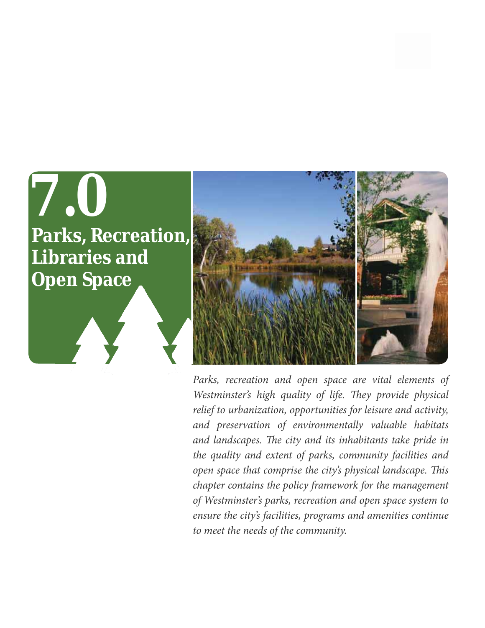# **7.0 Parks, Recreation, Libraries and Open Space**



*Parks, recreation and open space are vital elements of Westminster's high quality of life. They provide physical relief to urbanization, opportunities for leisure and activity, and preservation of environmentally valuable habitats and landscapes. The city and its inhabitants take pride in the quality and extent of parks, community facilities and open space that comprise the city's physical landscape. This chapter contains the policy framework for the management of Westminster's parks, recreation and open space system to ensure the city's facilities, programs and amenities continue to meet the needs of the community.*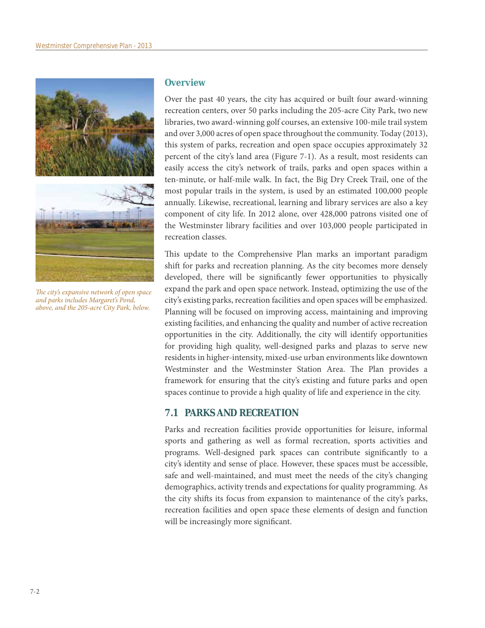

*The city's expansive network of open space and parks includes Margaret's Pond, above, and the 205-acre City Park, below.*

#### **Overview**

Over the past 40 years, the city has acquired or built four award-winning recreation centers, over 50 parks including the 205-acre City Park, two new libraries, two award-winning golf courses, an extensive 100-mile trail system and over 3,000 acres of open space throughout the community. Today (2013), this system of parks, recreation and open space occupies approximately 32 percent of the city's land area (Figure 7-1). As a result, most residents can easily access the city's network of trails, parks and open spaces within a ten-minute, or half-mile walk. In fact, the Big Dry Creek Trail, one of the most popular trails in the system, is used by an estimated 100,000 people annually. Likewise, recreational, learning and library services are also a key component of city life. In 2012 alone, over 428,000 patrons visited one of the Westminster library facilities and over 103,000 people participated in recreation classes.

This update to the Comprehensive Plan marks an important paradigm shift for parks and recreation planning. As the city becomes more densely developed, there will be significantly fewer opportunities to physically expand the park and open space network. Instead, optimizing the use of the city's existing parks, recreation facilities and open spaces will be emphasized. Planning will be focused on improving access, maintaining and improving existing facilities, and enhancing the quality and number of active recreation opportunities in the city. Additionally, the city will identify opportunities for providing high quality, well-designed parks and plazas to serve new residents in higher-intensity, mixed-use urban environments like downtown Westminster and the Westminster Station Area. The Plan provides a framework for ensuring that the city's existing and future parks and open spaces continue to provide a high quality of life and experience in the city.

# **7.1 PARKS AND RECREATION**

Parks and recreation facilities provide opportunities for leisure, informal sports and gathering as well as formal recreation, sports activities and programs. Well-designed park spaces can contribute significantly to a city's identity and sense of place. However, these spaces must be accessible, safe and well-maintained, and must meet the needs of the city's changing demographics, activity trends and expectations for quality programming. As the city shifts its focus from expansion to maintenance of the city's parks, recreation facilities and open space these elements of design and function will be increasingly more significant.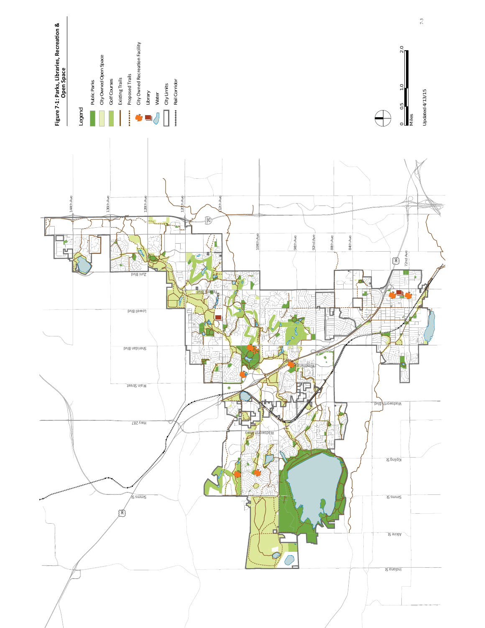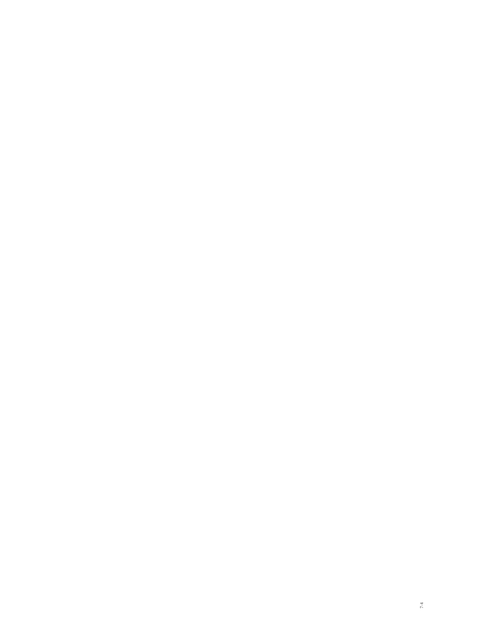7-4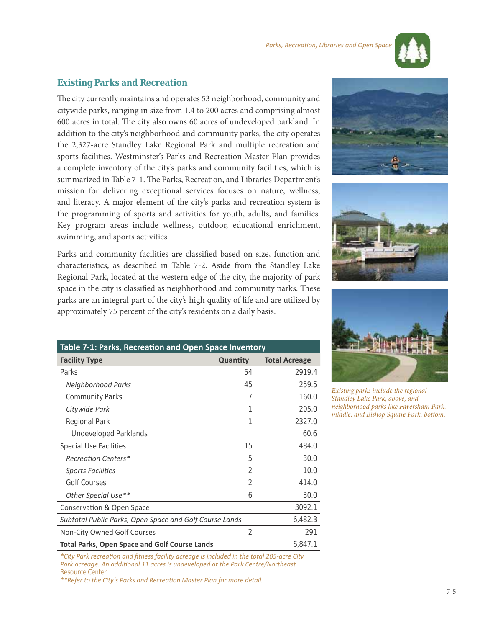

# **Existing Parks and Recreation**

The city currently maintains and operates 53 neighborhood, community and citywide parks, ranging in size from 1.4 to 200 acres and comprising almost 600 acres in total. The city also owns 60 acres of undeveloped parkland. In addition to the city's neighborhood and community parks, the city operates the 2,327-acre Standley Lake Regional Park and multiple recreation and sports facilities. Westminster's Parks and Recreation Master Plan provides a complete inventory of the city's parks and community facilities, which is summarized in Table 7-1. The Parks, Recreation, and Libraries Department's mission for delivering exceptional services focuses on nature, wellness, and literacy. A major element of the city's parks and recreation system is the programming of sports and activities for youth, adults, and families. Key program areas include wellness, outdoor, educational enrichment, swimming, and sports activities.

Parks and community facilities are classified based on size, function and characteristics, as described in Table 7-2. Aside from the Standley Lake Regional Park, located at the western edge of the city, the majority of park space in the city is classified as neighborhood and community parks. These parks are an integral part of the city's high quality of life and are utilized by approximately 75 percent of the city's residents on a daily basis.

| Table 7-1: Parks, Recreation and Open Space Inventory   |                |                      |
|---------------------------------------------------------|----------------|----------------------|
| <b>Facility Type</b>                                    | Quantity       | <b>Total Acreage</b> |
| Parks                                                   | 54             | 2919.4               |
| Neighborhood Parks                                      | 45             | 259.5                |
| <b>Community Parks</b>                                  | 7              | 160.0                |
| Citywide Park                                           | 1              | 205.0                |
| Regional Park                                           | 1              | 2327.0               |
| <b>Undeveloped Parklands</b>                            |                | 60.6                 |
| <b>Special Use Facilities</b>                           | 15             | 484.0                |
| Recreation Centers*                                     | 5              | 30.0                 |
| <b>Sports Facilities</b>                                | 2              | 10.0                 |
| Golf Courses                                            | $\mathfrak{D}$ | 414.0                |
| Other Special Use**                                     | 6              | 30.0                 |
| Conservation & Open Space                               |                | 3092.1               |
| Subtotal Public Parks, Open Space and Golf Course Lands |                | 6,482.3              |
| Non-City Owned Golf Courses                             | $\mathfrak{D}$ | 291                  |
| <b>Total Parks, Open Space and Golf Course Lands</b>    |                | 6,847.1              |

*\*City Park recreation and fitness facility acreage is included in the total 205-acre City* Park acreage. An additional 11 acres is undeveloped at the Park Centre/Northeast *Resource Center.* 

\*\*Refer to the City's Parks and Recreation Master Plan for more detail.







*Existing parks include the regional Standley Lake Park, above, and neighborhood parks like Faversham Park, middle, and Bishop Square Park, bottom.*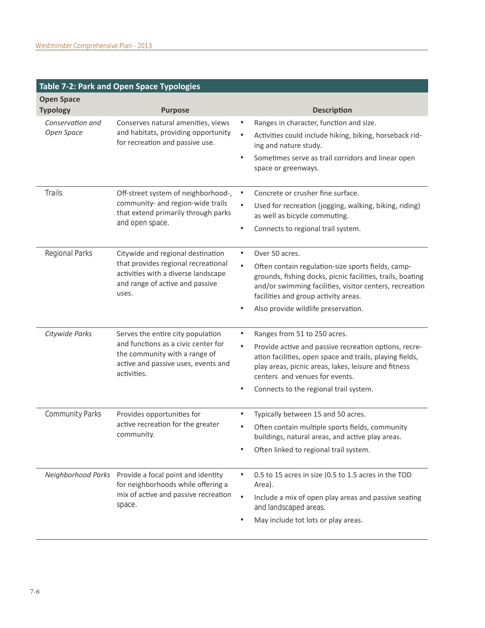|                                      | Table 7-2: Park and Open Space Typologies                                                                                                                       |                                                                                                                                                                                                                                                                                                        |
|--------------------------------------|-----------------------------------------------------------------------------------------------------------------------------------------------------------------|--------------------------------------------------------------------------------------------------------------------------------------------------------------------------------------------------------------------------------------------------------------------------------------------------------|
| <b>Open Space</b><br><b>Typology</b> | <b>Purpose</b>                                                                                                                                                  | <b>Description</b>                                                                                                                                                                                                                                                                                     |
| Conservation and<br>Open Space       | Conserves natural amenities, views<br>and habitats, providing opportunity<br>for recreation and passive use.                                                    | Ranges in character, function and size.<br>$\bullet$<br>Activities could include hiking, biking, horseback rid-<br>ing and nature study.<br>Sometimes serve as trail corridors and linear open<br>space or greenways.                                                                                  |
| Trails                               | Off-street system of neighborhood-,<br>community- and region-wide trails<br>that extend primarily through parks<br>and open space.                              | Concrete or crusher fine surface.<br>$\bullet$<br>Used for recreation (jogging, walking, biking, riding)<br>as well as bicycle commuting.<br>Connects to regional trail system.<br>$\bullet$                                                                                                           |
| Regional Parks                       | Citywide and regional destination<br>that provides regional recreational<br>activities with a diverse landscape<br>and range of active and passive<br>uses.     | Over 50 acres.<br>$\bullet$<br>$\bullet$<br>Often contain regulation-size sports fields, camp-<br>grounds, fishing docks, picnic facilities, trails, boating<br>and/or swimming facilities, visitor centers, recreation<br>facilities and group activity areas.<br>Also provide wildlife preservation. |
| Citywide Parks                       | Serves the entire city population<br>and functions as a civic center for<br>the community with a range of<br>active and passive uses, events and<br>activities. | Ranges from 51 to 250 acres.<br>$\bullet$<br>Provide active and passive recreation options, recre-<br>ation facilities, open space and trails, playing fields,<br>play areas, picnic areas, lakes, leisure and fitness<br>centers and venues for events.<br>Connects to the regional trail system.     |
| Community Parks                      | Provides opportunities for<br>active recreation for the greater<br>community.                                                                                   | Typically between 15 and 50 acres.<br>Often contain multiple sports fields, community<br>buildings, natural areas, and active play areas.<br>Often linked to regional trail system.                                                                                                                    |
|                                      | Neighborhood Parks Provide a focal point and identity<br>for neighborhoods while offering a<br>mix of active and passive recreation<br>space.                   | 0.5 to 15 acres in size (0.5 to 1.5 acres in the TOD<br>Area).<br>Include a mix of open play areas and passive seating<br>and landscaped areas.<br>May include tot lots or play areas.                                                                                                                 |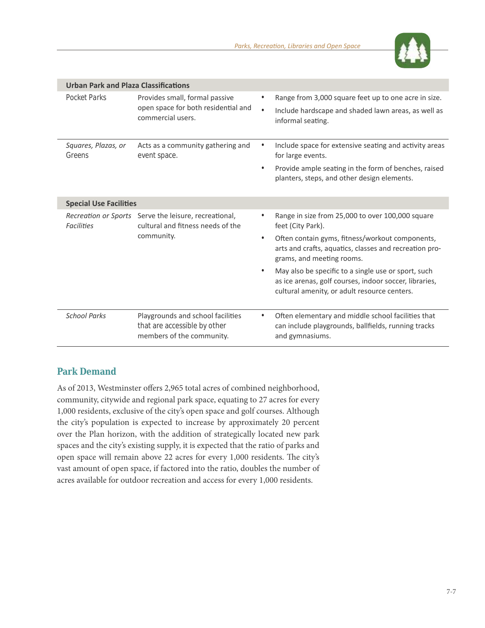

| <b>Urban Park and Plaza Classifications</b> |                                                                                                          |                                                                                                                                                                                                              |  |
|---------------------------------------------|----------------------------------------------------------------------------------------------------------|--------------------------------------------------------------------------------------------------------------------------------------------------------------------------------------------------------------|--|
| Pocket Parks                                | Provides small, formal passive<br>open space for both residential and<br>commercial users.               | Range from 3,000 square feet up to one acre in size.<br>$\bullet$<br>Include hardscape and shaded lawn areas, as well as<br>$\bullet$<br>informal seating.                                                   |  |
| Squares, Plazas, or<br>Greens               | Acts as a community gathering and<br>event space.                                                        | Include space for extensive seating and activity areas<br>$\bullet$<br>for large events.<br>Provide ample seating in the form of benches, raised<br>$\bullet$<br>planters, steps, and other design elements. |  |
|                                             |                                                                                                          |                                                                                                                                                                                                              |  |
| <b>Special Use Facilities</b>               |                                                                                                          |                                                                                                                                                                                                              |  |
| <b>Facilities</b>                           | Recreation or Sports Serve the leisure, recreational,<br>cultural and fitness needs of the<br>community. | Range in size from 25,000 to over 100,000 square<br>$\bullet$<br>feet (City Park).                                                                                                                           |  |
|                                             |                                                                                                          | Often contain gyms, fitness/workout components,<br>$\bullet$<br>arts and crafts, aquatics, classes and recreation pro-<br>grams, and meeting rooms.                                                          |  |
|                                             |                                                                                                          | May also be specific to a single use or sport, such<br>$\bullet$<br>as ice arenas, golf courses, indoor soccer, libraries,<br>cultural amenity, or adult resource centers.                                   |  |
| <b>School Parks</b>                         | Playgrounds and school facilities<br>that are accessible by other<br>members of the community.           | Often elementary and middle school facilities that<br>٠<br>can include playgrounds, ballfields, running tracks<br>and gymnasiums.                                                                            |  |

# **Park Demand**

As of 2013, Westminster offers 2,965 total acres of combined neighborhood, community, citywide and regional park space, equating to 27 acres for every 1,000 residents, exclusive of the city's open space and golf courses. Although the city's population is expected to increase by approximately 20 percent over the Plan horizon, with the addition of strategically located new park spaces and the city's existing supply, it is expected that the ratio of parks and open space will remain above 22 acres for every 1,000 residents. The city's vast amount of open space, if factored into the ratio, doubles the number of acres available for outdoor recreation and access for every 1,000 residents.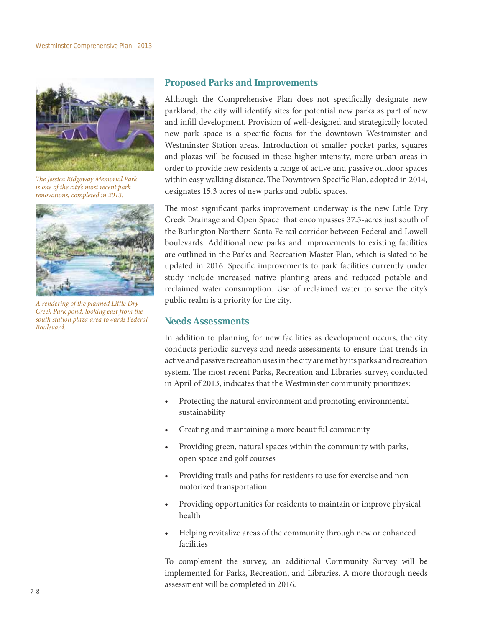

*The Jessica Ridgeway Memorial Park is one of the city's most recent park renovations, completed in 2013.*



*A rendering of the planned Little Dry Creek Park pond, looking east from the south station plaza area towards Federal Boulevard.*

#### **Proposed Parks and Improvements**

Although the Comprehensive Plan does not specifically designate new parkland, the city will identify sites for potential new parks as part of new and infill development. Provision of well-designed and strategically located new park space is a specific focus for the downtown Westminster and Westminster Station areas. Introduction of smaller pocket parks, squares and plazas will be focused in these higher-intensity, more urban areas in order to provide new residents a range of active and passive outdoor spaces within easy walking distance. The Downtown Specific Plan, adopted in 2014, designates 15.3 acres of new parks and public spaces.

The most significant parks improvement underway is the new Little Dry Creek Drainage and Open Space that encompasses 37.5-acres just south of the Burlington Northern Santa Fe rail corridor between Federal and Lowell boulevards. Additional new parks and improvements to existing facilities are outlined in the Parks and Recreation Master Plan, which is slated to be updated in 2016. Specific improvements to park facilities currently under study include increased native planting areas and reduced potable and reclaimed water consumption. Use of reclaimed water to serve the city's public realm is a priority for the city.

#### **Needs Assessments**

In addition to planning for new facilities as development occurs, the city conducts periodic surveys and needs assessments to ensure that trends in active and passive recreation uses in the city are met by its parks and recreation system. The most recent Parks, Recreation and Libraries survey, conducted in April of 2013, indicates that the Westminster community prioritizes:

- Protecting the natural environment and promoting environmental sustainability
- Creating and maintaining a more beautiful community
- Providing green, natural spaces within the community with parks, open space and golf courses
- Providing trails and paths for residents to use for exercise and nonmotorized transportation
- Providing opportunities for residents to maintain or improve physical health
- Helping revitalize areas of the community through new or enhanced facilities

To complement the survey, an additional Community Survey will be implemented for Parks, Recreation, and Libraries. A more thorough needs assessment will be completed in 2016.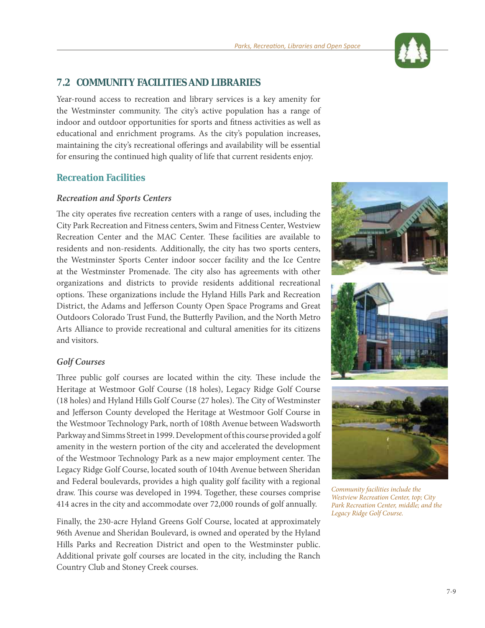# **7.2 COMMUNITY FACILITIES AND LIBRARIES**

Year-round access to recreation and library services is a key amenity for the Westminster community. The city's active population has a range of indoor and outdoor opportunities for sports and fitness activities as well as educational and enrichment programs. As the city's population increases, maintaining the city's recreational offerings and availability will be essential for ensuring the continued high quality of life that current residents enjoy.

#### **Recreation Facilities**

#### *Recreation and Sports Centers*

The city operates five recreation centers with a range of uses, including the City Park Recreation and Fitness centers, Swim and Fitness Center, Westview Recreation Center and the MAC Center. These facilities are available to residents and non-residents. Additionally, the city has two sports centers, the Westminster Sports Center indoor soccer facility and the Ice Centre at the Westminster Promenade. The city also has agreements with other organizations and districts to provide residents additional recreational options. These organizations include the Hyland Hills Park and Recreation District, the Adams and Jefferson County Open Space Programs and Great Outdoors Colorado Trust Fund, the Butterfly Pavilion, and the North Metro Arts Alliance to provide recreational and cultural amenities for its citizens and visitors.

#### *Golf Courses*

Three public golf courses are located within the city. These include the Heritage at Westmoor Golf Course (18 holes), Legacy Ridge Golf Course (18 holes) and Hyland Hills Golf Course (27 holes). The City of Westminster and Jefferson County developed the Heritage at Westmoor Golf Course in the Westmoor Technology Park, north of 108th Avenue between Wadsworth Parkway and Simms Street in 1999. Development of this course provided a golf amenity in the western portion of the city and accelerated the development of the Westmoor Technology Park as a new major employment center. The Legacy Ridge Golf Course, located south of 104th Avenue between Sheridan and Federal boulevards, provides a high quality golf facility with a regional draw. This course was developed in 1994. Together, these courses comprise 414 acres in the city and accommodate over 72,000 rounds of golf annually.

Finally, the 230-acre Hyland Greens Golf Course, located at approximately 96th Avenue and Sheridan Boulevard, is owned and operated by the Hyland Hills Parks and Recreation District and open to the Westminster public. Additional private golf courses are located in the city, including the Ranch Country Club and Stoney Creek courses.



*Community facilities include the Westview Recreation Center, top; City Park Recreation Center, middle; and the Legacy Ridge Golf Course.*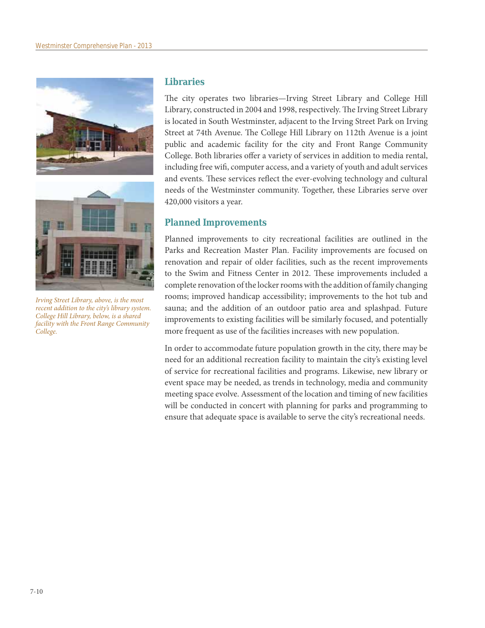



*Irving Street Library, above, is the most recent addition to the city's library system. College Hill Library, below, is a shared facility with the Front Range Community College.*

### **Libraries**

The city operates two libraries—Irving Street Library and College Hill Library, constructed in 2004 and 1998, respectively. The Irving Street Library is located in South Westminster, adjacent to the Irving Street Park on Irving Street at 74th Avenue. The College Hill Library on 112th Avenue is a joint public and academic facility for the city and Front Range Community College. Both libraries offer a variety of services in addition to media rental, including free wifi, computer access, and a variety of youth and adult services and events. These services reflect the ever-evolving technology and cultural needs of the Westminster community. Together, these Libraries serve over 420,000 visitors a year.

# **Planned Improvements**

Planned improvements to city recreational facilities are outlined in the Parks and Recreation Master Plan. Facility improvements are focused on renovation and repair of older facilities, such as the recent improvements to the Swim and Fitness Center in 2012. These improvements included a complete renovation of the locker rooms with the addition of family changing rooms; improved handicap accessibility; improvements to the hot tub and sauna; and the addition of an outdoor patio area and splashpad. Future improvements to existing facilities will be similarly focused, and potentially more frequent as use of the facilities increases with new population.

In order to accommodate future population growth in the city, there may be need for an additional recreation facility to maintain the city's existing level of service for recreational facilities and programs. Likewise, new library or event space may be needed, as trends in technology, media and community meeting space evolve. Assessment of the location and timing of new facilities will be conducted in concert with planning for parks and programming to ensure that adequate space is available to serve the city's recreational needs.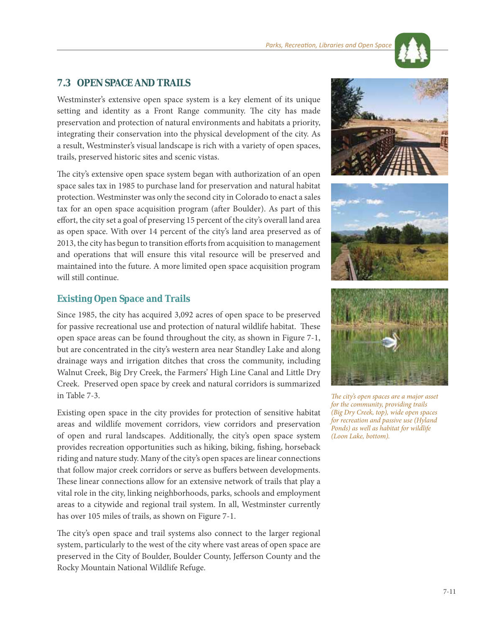

# **7.3 OPEN SPACE AND TRAILS**

Westminster's extensive open space system is a key element of its unique setting and identity as a Front Range community. The city has made preservation and protection of natural environments and habitats a priority, integrating their conservation into the physical development of the city. As a result, Westminster's visual landscape is rich with a variety of open spaces, trails, preserved historic sites and scenic vistas.

The city's extensive open space system began with authorization of an open space sales tax in 1985 to purchase land for preservation and natural habitat protection. Westminster was only the second city in Colorado to enact a sales tax for an open space acquisition program (after Boulder). As part of this effort, the city set a goal of preserving 15 percent of the city's overall land area as open space. With over 14 percent of the city's land area preserved as of 2013, the city has begun to transition efforts from acquisition to management and operations that will ensure this vital resource will be preserved and maintained into the future. A more limited open space acquisition program will still continue.

#### **Existing Open Space and Trails**

Since 1985, the city has acquired 3,092 acres of open space to be preserved for passive recreational use and protection of natural wildlife habitat. These open space areas can be found throughout the city, as shown in Figure 7-1, but are concentrated in the city's western area near Standley Lake and along drainage ways and irrigation ditches that cross the community, including Walnut Creek, Big Dry Creek, the Farmers' High Line Canal and Little Dry Creek. Preserved open space by creek and natural corridors is summarized in Table 7-3.

Existing open space in the city provides for protection of sensitive habitat areas and wildlife movement corridors, view corridors and preservation of open and rural landscapes. Additionally, the city's open space system provides recreation opportunities such as hiking, biking, fishing, horseback riding and nature study. Many of the city's open spaces are linear connections that follow major creek corridors or serve as buffers between developments. These linear connections allow for an extensive network of trails that play a vital role in the city, linking neighborhoods, parks, schools and employment areas to a citywide and regional trail system. In all, Westminster currently has over 105 miles of trails, as shown on Figure 7-1.

The city's open space and trail systems also connect to the larger regional system, particularly to the west of the city where vast areas of open space are preserved in the City of Boulder, Boulder County, Jefferson County and the Rocky Mountain National Wildlife Refuge.



*The city's open spaces are a major asset for the community, providing trails (Big Dry Creek, top), wide open spaces for recreation and passive use (Hyland Ponds) as well as habitat for wildlife (Loon Lake, bottom).*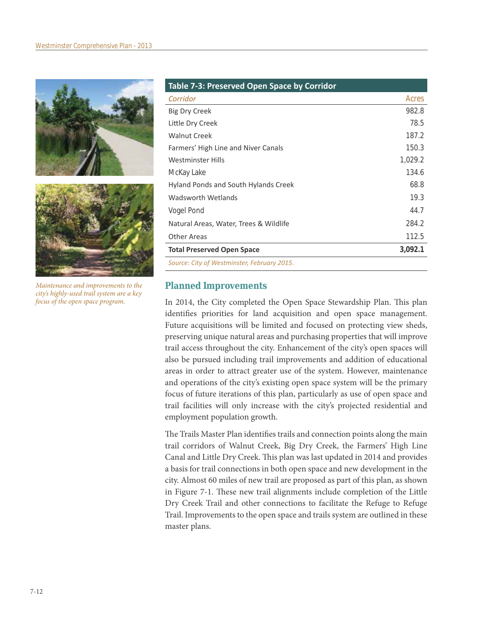



*Maintenance and improvements to the city's highly-used trail system are a key focus of the open space program.*

| Table 7-3: Preserved Open Space by Corridor |         |  |
|---------------------------------------------|---------|--|
| Corridor                                    | Acres   |  |
| Big Dry Creek                               | 982.8   |  |
| Little Dry Creek                            | 78.5    |  |
| <b>Walnut Creek</b>                         | 187.2   |  |
| Farmers' High Line and Niver Canals         | 150.3   |  |
| Westminster Hills                           | 1,029.2 |  |
| McKay Lake                                  | 134.6   |  |
| <b>Hyland Ponds and South Hylands Creek</b> | 68.8    |  |
| Wadsworth Wetlands                          | 19.3    |  |
| Vogel Pond                                  | 44.7    |  |
| Natural Areas, Water, Trees & Wildlife      | 284.2   |  |
| Other Areas                                 | 112.5   |  |
| <b>Total Preserved Open Space</b>           | 3,092.1 |  |
| Source: City of Westminster, February 2015. |         |  |

#### **Planned Improvements**

In 2014, the City completed the Open Space Stewardship Plan. This plan identifies priorities for land acquisition and open space management. Future acquisitions will be limited and focused on protecting view sheds, preserving unique natural areas and purchasing properties that will improve trail access throughout the city. Enhancement of the city's open spaces will also be pursued including trail improvements and addition of educational areas in order to attract greater use of the system. However, maintenance and operations of the city's existing open space system will be the primary focus of future iterations of this plan, particularly as use of open space and trail facilities will only increase with the city's projected residential and employment population growth.

The Trails Master Plan identifies trails and connection points along the main trail corridors of Walnut Creek, Big Dry Creek, the Farmers' High Line Canal and Little Dry Creek. This plan was last updated in 2014 and provides a basis for trail connections in both open space and new development in the city. Almost 60 miles of new trail are proposed as part of this plan, as shown in Figure 7-1. These new trail alignments include completion of the Little Dry Creek Trail and other connections to facilitate the Refuge to Refuge Trail. Improvements to the open space and trails system are outlined in these master plans.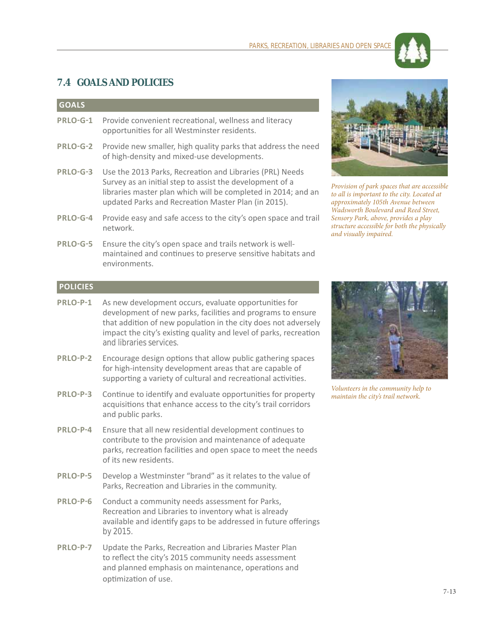

# **7.4 GOALS AND POLICIES**

#### **GOALS**

| <b>PRLO-G-1</b> | Provide convenient recreational, wellness and literacy |
|-----------------|--------------------------------------------------------|
|                 | opportunities for all Westminster residents.           |

- **PRLO-G-2** Provide new smaller, high quality parks that address the need of high-density and mixed-use developments.
- **PRLO-G-3** Use the 2013 Parks, Recreation and Libraries (PRL) Needs Survey as an initial step to assist the development of a libraries master plan which will be completed in 2014; and an updated Parks and Recreation Master Plan (in 2015).
- PRLO-G-4 Provide easy and safe access to the city's open space and trail network.
- **PRLO-G-5** Ensure the city's open space and trails network is wellmaintained and continues to preserve sensitive habitats and environments



*Provision of park spaces that are accessible to all is important to the city. Located at approximately 105th Avenue between Wadsworth Boulevard and Reed Street, Sensory Park, above, provides a play structure accessible for both the physically and visually impaired.*

#### **POLICIES**

- **PRLO-P-1** As new development occurs, evaluate opportunities for development of new parks, facilities and programs to ensure that addition of new population in the city does not adversely impact the city's existing quality and level of parks, recreation and libraries services.
- **PRLO-P-2** Encourage design options that allow public gathering spaces for high-intensity development areas that are capable of supporting a variety of cultural and recreational activities.
- **PRLO-P-3** Continue to identify and evaluate opportunities for property acquisitions that enhance access to the city's trail corridors and public parks.
- **PRLO-P-4** Ensure that all new residential development continues to contribute to the provision and maintenance of adequate parks, recreation facilities and open space to meet the needs of its new residents.
- **PRLO-P-5** Develop a Westminster "brand" as it relates to the value of Parks, Recreation and Libraries in the community.
- **PRLO-P-6** Conduct a community needs assessment for Parks, Recreation and Libraries to inventory what is already available and identify gaps to be addressed in future offerings by 2015.
- PRLO-P-7 Update the Parks, Recreation and Libraries Master Plan to reflect the city's 2015 community needs assessment and planned emphasis on maintenance, operations and optimization of use.



*Volunteers in the community help to maintain the city's trail network.*